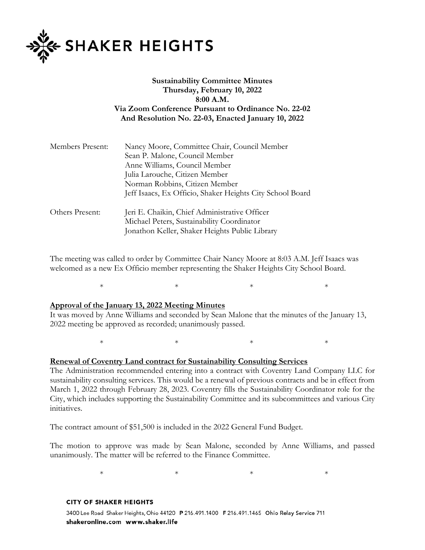

# **Sustainability Committee Minutes Thursday, February 10, 2022 8:00 A.M. Via Zoom Conference Pursuant to Ordinance No. 22-02 And Resolution No. 22-03, Enacted January 10, 2022**

| Nancy Moore, Committee Chair, Council Member                    |
|-----------------------------------------------------------------|
| Sean P. Malone, Council Member                                  |
| Anne Williams, Council Member<br>Julia Larouche, Citizen Member |
|                                                                 |
| Jeff Isaacs, Ex Officio, Shaker Heights City School Board       |
| Jeri E. Chaikin, Chief Administrative Officer                   |
| Michael Peters, Sustainability Coordinator                      |
| Jonathon Keller, Shaker Heights Public Library                  |
|                                                                 |

The meeting was called to order by Committee Chair Nancy Moore at 8:03 A.M. Jeff Isaacs was welcomed as a new Ex Officio member representing the Shaker Heights City School Board.

 $*$   $*$   $*$   $*$   $*$ 

#### **Approval of the January 13, 2022 Meeting Minutes**

It was moved by Anne Williams and seconded by Sean Malone that the minutes of the January 13, 2022 meeting be approved as recorded; unanimously passed.

 $*$   $*$   $*$   $*$   $*$ 

#### **Renewal of Coventry Land contract for Sustainability Consulting Services**

The Administration recommended entering into a contract with Coventry Land Company LLC for sustainability consulting services. This would be a renewal of previous contracts and be in effect from March 1, 2022 through February 28, 2023. Coventry fills the Sustainability Coordinator role for the City, which includes supporting the Sustainability Committee and its subcommittees and various City initiatives.

The contract amount of \$51,500 is included in the 2022 General Fund Budget.

The motion to approve was made by Sean Malone, seconded by Anne Williams, and passed unanimously. The matter will be referred to the Finance Committee.

 $*$   $*$   $*$   $*$   $*$ 

#### **CITY OF SHAKER HEIGHTS**

3400 Lee Road Shaker Heights, Ohio 44120 P 216.491.1400 F 216.491.1465 Ohio Relay Service 711 shakeronline.com www.shaker.life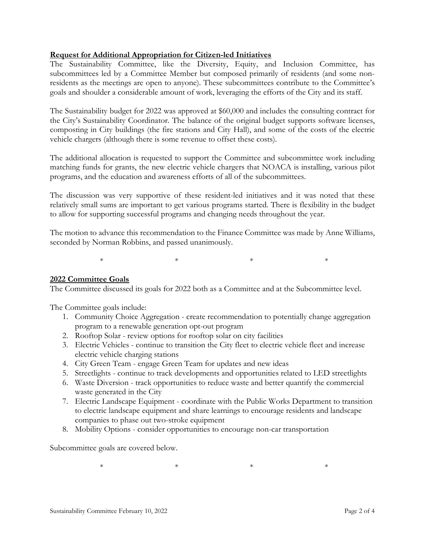## **Request for Additional Appropriation for Citizen-led Initiatives**

The Sustainability Committee, like the Diversity, Equity, and Inclusion Committee, has subcommittees led by a Committee Member but composed primarily of residents (and some nonresidents as the meetings are open to anyone). These subcommittees contribute to the Committee's goals and shoulder a considerable amount of work, leveraging the efforts of the City and its staff.

The Sustainability budget for 2022 was approved at \$60,000 and includes the consulting contract for the City's Sustainability Coordinator. The balance of the original budget supports software licenses, composting in City buildings (the fire stations and City Hall), and some of the costs of the electric vehicle chargers (although there is some revenue to offset these costs).

The additional allocation is requested to support the Committee and subcommittee work including matching funds for grants, the new electric vehicle chargers that NOACA is installing, various pilot programs, and the education and awareness efforts of all of the subcommittees.

The discussion was very supportive of these resident-led initiatives and it was noted that these relatively small sums are important to get various programs started. There is flexibility in the budget to allow for supporting successful programs and changing needs throughout the year.

The motion to advance this recommendation to the Finance Committee was made by Anne Williams, seconded by Norman Robbins, and passed unanimously.

 $*$   $*$   $*$   $*$   $*$ 

### **2022 Committee Goals**

The Committee discussed its goals for 2022 both as a Committee and at the Subcommittee level.

The Committee goals include:

- 1. Community Choice Aggregation create recommendation to potentially change aggregation program to a renewable generation opt-out program
- 2. Rooftop Solar review options for rooftop solar on city facilities
- 3. Electric Vehicles continue to transition the City fleet to electric vehicle fleet and increase electric vehicle charging stations
- 4. City Green Team engage Green Team for updates and new ideas
- 5. Streetlights continue to track developments and opportunities related to LED streetlights
- 6. Waste Diversion track opportunities to reduce waste and better quantify the commercial waste generated in the City
- 7. Electric Landscape Equipment coordinate with the Public Works Department to transition to electric landscape equipment and share learnings to encourage residents and landscape companies to phase out two-stroke equipment
- 8. Mobility Options consider opportunities to encourage non-car transportation

Subcommittee goals are covered below.

 $*$  \*  $*$  \*  $*$  \*  $*$  \*  $*$  \*  $*$  \*  $*$  \*  $*$  \*  $*$  \*  $*$  \*  $*$  \*  $*$  \*  $*$  \*  $*$  \*  $*$  \*  $*$  \*  $*$  \*  $*$  \*  $*$  \*  $*$  \*  $*$  \*  $*$  \*  $*$  \*  $*$  \*  $*$  \*  $*$  \*  $*$  \*  $*$  \*  $*$  \*  $*$  \*  $*$  \*  $*$  \*  $*$  \*  $*$  \*  $*$  \*  $*$  \*  $*$  \*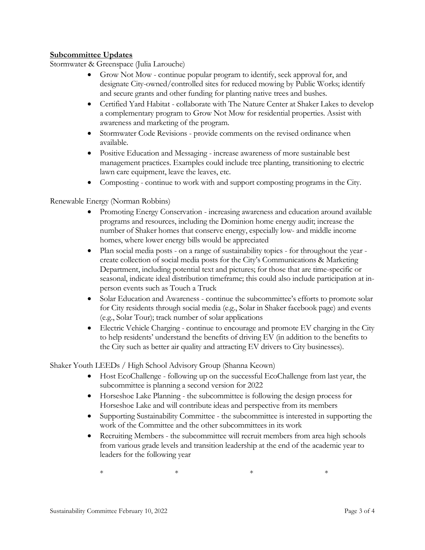## **Subcommittee Updates**

Stormwater & Greenspace (Julia Larouche)

- Grow Not Mow continue popular program to identify, seek approval for, and designate City-owned/controlled sites for reduced mowing by Public Works; identify and secure grants and other funding for planting native trees and bushes.
- Certified Yard Habitat collaborate with The Nature Center at Shaker Lakes to develop a complementary program to Grow Not Mow for residential properties. Assist with awareness and marketing of the program.
- Stormwater Code Revisions provide comments on the revised ordinance when available.
- Positive Education and Messaging increase awareness of more sustainable best management practices. Examples could include tree planting, transitioning to electric lawn care equipment, leave the leaves, etc.
- Composting continue to work with and support composting programs in the City.

## Renewable Energy (Norman Robbins)

- Promoting Energy Conservation increasing awareness and education around available programs and resources, including the Dominion home energy audit; increase the number of Shaker homes that conserve energy, especially low- and middle income homes, where lower energy bills would be appreciated
- Plan social media posts on a range of sustainability topics for throughout the year create collection of social media posts for the City's Communications & Marketing Department, including potential text and pictures; for those that are time-specific or seasonal, indicate ideal distribution timeframe; this could also include participation at inperson events such as Touch a Truck
- Solar Education and Awareness continue the subcommittee's efforts to promote solar for City residents through social media (e.g., Solar in Shaker facebook page) and events (e.g., Solar Tour); track number of solar applications
- Electric Vehicle Charging continue to encourage and promote EV charging in the City to help residents' understand the benefits of driving EV (in addition to the benefits to the City such as better air quality and attracting EV drivers to City businesses).

Shaker Youth LEEDs / High School Advisory Group (Shanna Keown)

- Host EcoChallenge following up on the successful EcoChallenge from last year, the subcommittee is planning a second version for 2022
- Horseshoe Lake Planning the subcommittee is following the design process for Horseshoe Lake and will contribute ideas and perspective from its members
- Supporting Sustainability Committee the subcommittee is interested in supporting the work of the Committee and the other subcommittees in its work
- Recruiting Members the subcommittee will recruit members from area high schools from various grade levels and transition leadership at the end of the academic year to leaders for the following year

 $*$   $*$   $*$   $*$   $*$